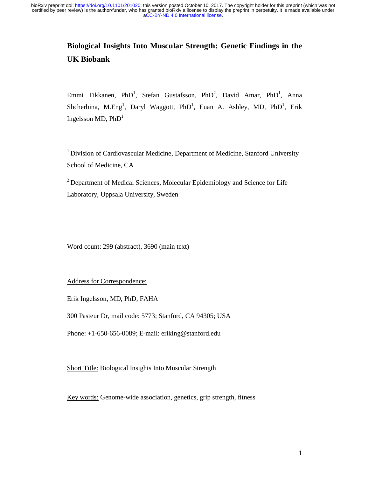# **Biological Insights Into Muscular Strength: Genetic Findings in the UK Biobank**

Emmi Tikkanen, PhD<sup>1</sup>, Stefan Gustafsson, PhD<sup>2</sup>, David Amar, PhD<sup>1</sup>, Anna Shcherbina, M.Eng<sup>1</sup>, Daryl Waggott, PhD<sup>1</sup>, Euan A. Ashley, MD, PhD<sup>1</sup>, Erik Ingelsson MD,  $PhD<sup>1</sup>$ 

<sup>1</sup> Division of Cardiovascular Medicine, Department of Medicine, Stanford University School of Medicine, CA

<sup>2</sup> Department of Medical Sciences, Molecular Epidemiology and Science for Life Laboratory, Uppsala University, Sweden

Word count: 299 (abstract), 3690 (main text)

Address for Correspondence:

Erik Ingelsson, MD, PhD, FAHA

300 Pasteur Dr, mail code: 5773; Stanford, CA 94305; USA

Phone: +1-650-656-0089; E-mail: eriking@stanford.edu

Short Title: Biological Insights Into Muscular Strength

Key words: Genome-wide association, genetics, grip strength, fitness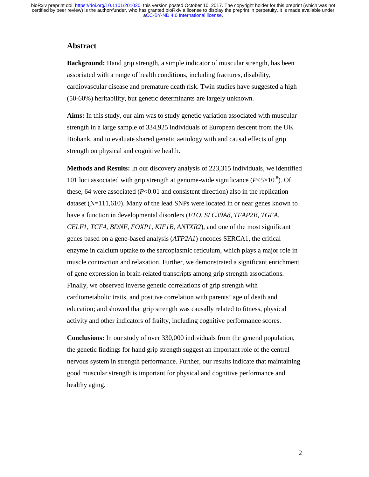### **Abstract**

**Background:** Hand grip strength, a simple indicator of muscular strength, has been associated with a range of health conditions, including fractures, disability, cardiovascular disease and premature death risk. Twin studies have suggested a high (50-60%) heritability, but genetic determinants are largely unknown.

**Aims:** In this study, our aim was to study genetic variation associated with muscular strength in a large sample of 334,925 individuals of European descent from the UK Biobank, and to evaluate shared genetic aetiology with and causal effects of grip strength on physical and cognitive health.

**Methods and Results:** In our discovery analysis of 223,315 individuals, we identified 101 loci associated with grip strength at genome-wide significance  $(P<5\times10^{-8})$ . Of these, 64 were associated  $(P<0.01$  and consistent direction) also in the replication dataset  $(N=111,610)$ . Many of the lead SNPs were located in or near genes known to have a function in developmental disorders (*FTO*, *SLC39A8, TFAP2B, TGFA, CELF1, TCF4, BDNF, FOXP1, KIF1B, ANTXR2*), and one of the most significant genes based on a gene-based analysis (*ATP2A1*) encodes SERCA1, the critical enzyme in calcium uptake to the sarcoplasmic reticulum, which plays a major role in muscle contraction and relaxation. Further, we demonstrated a significant enrichment of gene expression in brain-related transcripts among grip strength associations. Finally, we observed inverse genetic correlations of grip strength with cardiometabolic traits, and positive correlation with parents' age of death and education; and showed that grip strength was causally related to fitness, physical activity and other indicators of frailty, including cognitive performance scores.

**Conclusions:** In our study of over 330,000 individuals from the general population, the genetic findings for hand grip strength suggest an important role of the central nervous system in strength performance. Further, our results indicate that maintaining good muscular strength is important for physical and cognitive performance and healthy aging.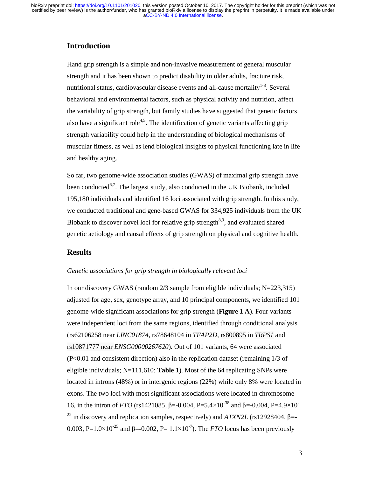### **Introduction**

Hand grip strength is a simple and non-invasive measurement of general muscular strength and it has been shown to predict disability in older adults, fracture risk, nutritional status, cardiovascular disease events and all-cause mortality $1<sup>3</sup>$ . Several behavioral and environmental factors, such as physical activity and nutrition, affect the variability of grip strength, but family studies have suggested that genetic factors also have a significant role<sup>4,5</sup>. The identification of genetic variants affecting grip strength variability could help in the understanding of biological mechanisms of muscular fitness, as well as lend biological insights to physical functioning late in life and healthy aging.

So far, two genome-wide association studies (GWAS) of maximal grip strength have been conducted<sup>6,7</sup>. The largest study, also conducted in the UK Biobank, included 195,180 individuals and identified 16 loci associated with grip strength. In this study, we conducted traditional and gene-based GWAS for 334,925 individuals from the UK Biobank to discover novel loci for relative grip strength<sup>8,9</sup>, and evaluated shared genetic aetiology and causal effects of grip strength on physical and cognitive health.

### **Results**

#### *Genetic associations for grip strength in biologically relevant loci*

In our discovery GWAS (random 2/3 sample from eligible individuals; N=223,315) adjusted for age, sex, genotype array, and 10 principal components, we identified 101 genome-wide significant associations for grip strength (**Figure 1 A**). Four variants were independent loci from the same regions, identified through conditional analysis (rs62106258 near *LINC01874*, rs78648104 in *TFAP2D*, rs800895 in *TRPS1* and rs10871777 near *ENSG00000267620*). Out of 101 variants, 64 were associated (P<0.01 and consistent direction) also in the replication dataset (remaining 1/3 of eligible individuals; N=111,610; **Table 1**). Most of the 64 replicating SNPs were located in introns (48%) or in intergenic regions (22%) while only 8% were located in exons. The two loci with most significant associations were located in chromosome 16, in the intron of *FTO* (rs1421085,  $\beta$ =-0.004, P=5.4×10<sup>-38</sup> and  $\beta$ =-0.004, P=4.9×10<sup>-1</sup> <sup>22</sup> in discovery and replication samples, respectively) and *ATXN2L* (rs12928404, β=-0.003, P=1.0×10<sup>-25</sup> and  $\beta$ =-0.002, P=1.1×10<sup>-7</sup>). The *FTO* locus has been previously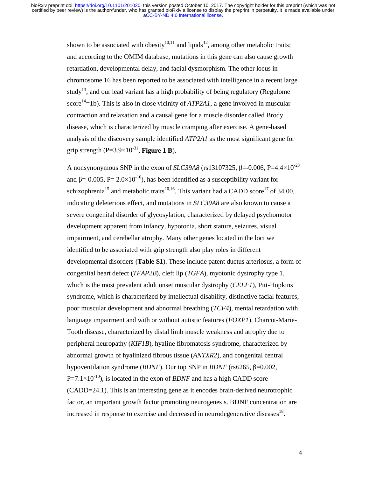shown to be associated with obesity<sup>10,11</sup> and lipids<sup>12</sup>, among other metabolic traits; and according to the OMIM database, mutations in this gene can also cause growth retardation, developmental delay, and facial dysmorphism. The other locus in chromosome 16 has been reported to be associated with intelligence in a recent large study<sup>13</sup>, and our lead variant has a high probability of being regulatory (Regulome score<sup>14</sup>=1b). This is also in close vicinity of *ATP2A1*, a gene involved in muscular contraction and relaxation and a causal gene for a muscle disorder called Brody disease, which is characterized by muscle cramping after exercise. A gene-based analysis of the discovery sample identified *ATP2A1* as the most significant gene for grip strength  $(P=3.9\times10^{-31}$ , **Figure 1 B**).

A nonsynonymous SNP in the exon of *SLC39A8* (rs13107325,  $\beta$ =-0.006, P=4.4×10<sup>-23</sup> and  $\beta$ =-0.005, P= 2.0×10<sup>-10</sup>), has been identified as a susceptibility variant for schizophrenia<sup>15</sup> and metabolic traits<sup>10,16</sup>. This variant had a CADD score<sup>17</sup> of 34.00, indicating deleterious effect, and mutations in *SLC39A8* are also known to cause a severe congenital disorder of glycosylation, characterized by delayed psychomotor development apparent from infancy, hypotonia, short stature, seizures, visual impairment, and cerebellar atrophy. Many other genes located in the loci we identified to be associated with grip strength also play roles in different developmental disorders (**Table S1**). These include patent ductus arteriosus, a form of congenital heart defect (*TFAP2B*), cleft lip (*TGFA*), myotonic dystrophy type 1, which is the most prevalent adult onset muscular dystrophy (*CELF1*), Pitt-Hopkins syndrome, which is characterized by intellectual disability, distinctive facial features, poor muscular development and abnormal breathing (*TCF4*), mental retardation with language impairment and with or without autistic features (*FOXP1*), Charcot-Marie-Tooth disease, characterized by distal limb muscle weakness and atrophy due to peripheral neuropathy (*KIF1B*), hyaline fibromatosis syndrome, characterized by abnormal growth of hyalinized fibrous tissue (*ANTXR2*), and congenital central hypoventilation syndrome (*BDNF*). Our top SNP in *BDNF* (rs6265, β=0.002,  $P=7.1\times10^{-10}$ ), is located in the exon of *BDNF* and has a high CADD score (CADD=24.1). This is an interesting gene as it encodes brain-derived neurotrophic factor, an important growth factor promoting neurogenesis. BDNF concentration are increased in response to exercise and decreased in neurodegenerative diseases<sup>18</sup>.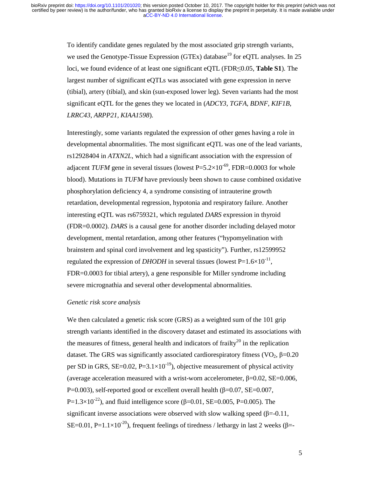To identify candidate genes regulated by the most associated grip strength variants, we used the Genotype-Tissue Expression (GTEx) database<sup>19</sup> for eQTL analyses. In 25 loci, we found evidence of at least one significant eQTL (FDR≤0.05, **Table S1**). The largest number of significant eQTLs was associated with gene expression in nerve (tibial), artery (tibial), and skin (sun-exposed lower leg). Seven variants had the most significant eQTL for the genes they we located in (*ADCY3*, *TGFA*, *BDNF*, *KIF1B*, *LRRC43*, *ARPP21*, *KIAA1598*).

Interestingly, some variants regulated the expression of other genes having a role in developmental abnormalities. The most significant eQTL was one of the lead variants, rs12928404 in *ATXN2L*, which had a significant association with the expression of adjacent *TUFM* gene in several tissues (lowest  $P=5.2\times10^{-69}$ , FDR=0.0003 for whole blood). Mutations in *TUFM* have previously been shown to cause combined oxidative phosphorylation deficiency 4, a syndrome consisting of intrauterine growth retardation, developmental regression, hypotonia and respiratory failure. Another interesting eQTL was rs6759321, which regulated *DARS* expression in thyroid (FDR=0.0002). *DARS* is a causal gene for another disorder including delayed motor development, mental retardation, among other features ("hypomyelination with brainstem and spinal cord involvement and leg spasticity"). Further, rs12599952 regulated the expression of *DHODH* in several tissues (lowest  $P=1.6\times10^{-11}$ , FDR=0.0003 for tibial artery), a gene responsible for Miller syndrome including severe micrognathia and several other developmental abnormalities.

#### *Genetic risk score analysis*

We then calculated a genetic risk score (GRS) as a weighted sum of the 101 grip strength variants identified in the discovery dataset and estimated its associations with the measures of fitness, general health and indicators of frailty<sup>20</sup> in the replication dataset. The GRS was significantly associated cardiorespiratory fitness (VO<sub>2</sub>,  $\beta$ =0.20 per SD in GRS, SE=0.02, P=3.1×10<sup>-19</sup>), objective measurement of physical activity (average acceleration measured with a wrist-worn accelerometer,  $\beta = 0.02$ , SE=0.006, P=0.003), self-reported good or excellent overall health ( $\beta$ =0.07, SE=0.007, P=1.3×10<sup>-22</sup>), and fluid intelligence score (β=0.01, SE=0.005, P=0.005). The significant inverse associations were observed with slow walking speed  $(\beta = 0.11)$ , SE=0.01, P=1.1×10<sup>-20</sup>), frequent feelings of tiredness / lethargy in last 2 weeks ( $\beta$ =-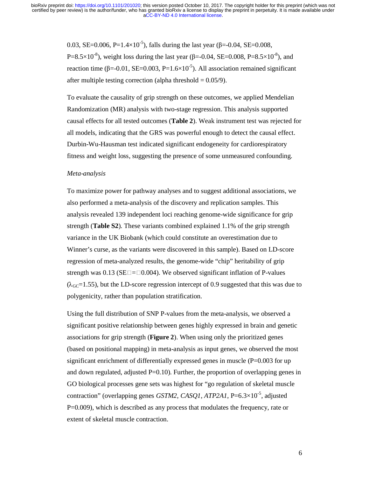0.03, SE=0.006, P=1.4×10<sup>-5</sup>), falls during the last year ( $\beta$ =-0.04, SE=0.008, P=8.5×10<sup>-8</sup>), weight loss during the last year (β=-0.04, SE=0.008, P=8.5×10<sup>-8</sup>), and reaction time  $(\beta = 0.01, SE = 0.003, P = 1.6 \times 10^{-5})$ . All association remained significant after multiple testing correction (alpha threshold  $= 0.05/9$ ).

To evaluate the causality of grip strength on these outcomes, we applied Mendelian Randomization (MR) analysis with two-stage regression. This analysis supported causal effects for all tested outcomes (**Table 2**). Weak instrument test was rejected for all models, indicating that the GRS was powerful enough to detect the causal effect. Durbin-Wu-Hausman test indicated significant endogeneity for cardiorespiratory fitness and weight loss, suggesting the presence of some unmeasured confounding.

#### *Meta-analysis*

To maximize power for pathway analyses and to suggest additional associations, we also performed a meta-analysis of the discovery and replication samples. This analysis revealed 139 independent loci reaching genome-wide significance for grip strength (**Table S2**). These variants combined explained 1.1% of the grip strength variance in the UK Biobank (which could constitute an overestimation due to Winner's curse, as the variants were discovered in this sample). Based on LD-score regression of meta-analyzed results, the genome-wide "chip" heritability of grip strength was 0.13 (SE $\Box$ = $\Box$ 0.004). We observed significant inflation of P-values  $(\lambda_{\text{GC}}=1.55)$ , but the LD-score regression intercept of 0.9 suggested that this was due to polygenicity, rather than population stratification.

Using the full distribution of SNP P-values from the meta-analysis, we observed a significant positive relationship between genes highly expressed in brain and genetic associations for grip strength (**Figure 2**). When using only the prioritized genes (based on positional mapping) in meta-analysis as input genes, we observed the most significant enrichment of differentially expressed genes in muscle (P=0.003 for up and down regulated, adjusted P=0.10). Further, the proportion of overlapping genes in GO biological processes gene sets was highest for "go regulation of skeletal muscle contraction" (overlapping genes *GSTM2*, *CASO1*, *ATP2A1*,  $P=6.3\times10^{-5}$ , adjusted P=0.009), which is described as any process that modulates the frequency, rate or extent of skeletal muscle contraction.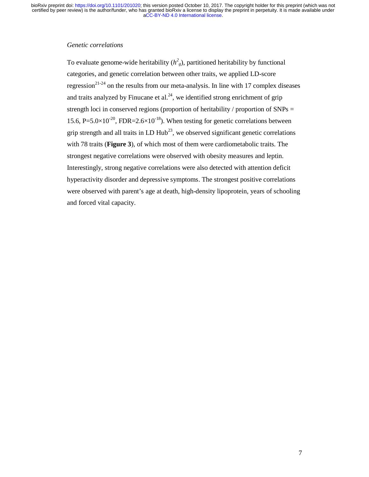#### *Genetic correlations*

To evaluate genome-wide heritability  $(h^2_{g})$ , partitioned heritability by functional categories, and genetic correlation between other traits, we applied LD-score regression<sup>21-24</sup> on the results from our meta-analysis. In line with 17 complex diseases and traits analyzed by Finucane et al.<sup>24</sup>, we identified strong enrichment of grip strength loci in conserved regions (proportion of heritability / proportion of SNPs = 15.6, P=5.0 $\times$ 10<sup>-20</sup>, FDR=2.6 $\times$ 10<sup>-18</sup>). When testing for genetic correlations between grip strength and all traits in LD  $Hub^{23}$ , we observed significant genetic correlations with 78 traits (**Figure 3**), of which most of them were cardiometabolic traits. The strongest negative correlations were observed with obesity measures and leptin. Interestingly, strong negative correlations were also detected with attention deficit hyperactivity disorder and depressive symptoms. The strongest positive correlations were observed with parent's age at death, high-density lipoprotein, years of schooling and forced vital capacity.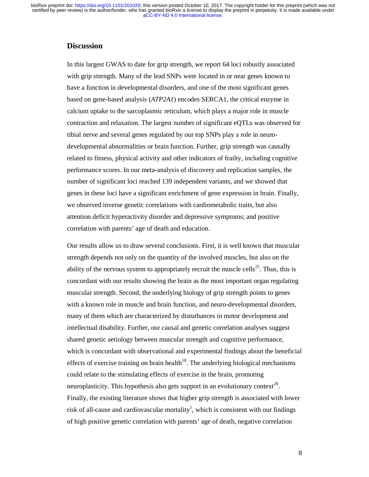### **Discussion**

In this largest GWAS to date for grip strength, we report 64 loci robustly associated with grip strength. Many of the lead SNPs were located in or near genes known to have a function in developmental disorders, and one of the most significant genes based on gene-based analysis (*ATP2A1*) encodes SERCA1, the critical enzyme in calcium uptake to the sarcoplasmic reticulum, which plays a major role in muscle contraction and relaxation. The largest number of significant eQTLs was observed for tibial nerve and several genes regulated by our top SNPs play a role in neurodevelopmental abnormalities or brain function. Further, grip strength was causally related to fitness, physical activity and other indicators of frailty, including cognitive performance scores. In our meta-analysis of discovery and replication samples, the number of significant loci reached 139 independent variants, and we showed that genes in these loci have a significant enrichment of gene expression in brain. Finally, we observed inverse genetic correlations with cardiometabolic traits, but also attention deficit hyperactivity disorder and depressive symptoms; and positive correlation with parents' age of death and education.

Our results allow us to draw several conclusions. First, it is well known that muscular strength depends not only on the quantity of the involved muscles, but also on the ability of the nervous system to appropriately recruit the muscle cells<sup>25</sup>. Thus, this is concordant with our results showing the brain as the most important organ regulating muscular strength. Second, the underlying biology of grip strength points to genes with a known role in muscle and brain function, and neuro-developmental disorders, many of them which are characterized by disturbances in motor development and intellectual disability. Further, our causal and genetic correlation analyses suggest shared genetic aetiology between muscular strength and cognitive performance, which is concordant with observational and experimental findings about the beneficial effects of exercise training on brain health<sup>18</sup>. The underlying biological mechanisms could relate to the stimulating effects of exercise in the brain, promoting neuroplasticity. This hypothesis also gets support in an evolutionary context<sup>26</sup>. Finally, the existing literature shows that higher grip strength is associated with lower risk of all-cause and cardiovascular mortality<sup>1</sup>, which is consistent with our findings of high positive genetic correlation with parents' age of death, negative correlation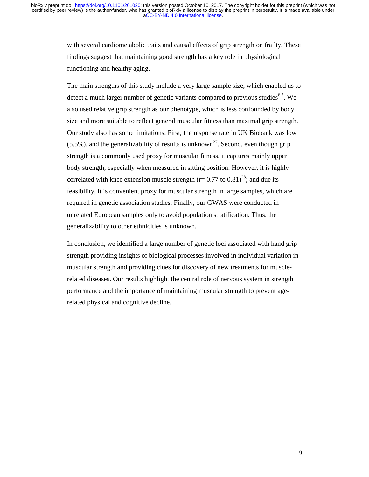with several cardiometabolic traits and causal effects of grip strength on frailty. These findings suggest that maintaining good strength has a key role in physiological functioning and healthy aging.

The main strengths of this study include a very large sample size, which enabled us to detect a much larger number of genetic variants compared to previous studies<sup>6,7</sup>. We also used relative grip strength as our phenotype, which is less confounded by body size and more suitable to reflect general muscular fitness than maximal grip strength. Our study also has some limitations. First, the response rate in UK Biobank was low  $(5.5\%)$ , and the generalizability of results is unknown<sup>27</sup>. Second, even though grip strength is a commonly used proxy for muscular fitness, it captures mainly upper body strength, especially when measured in sitting position. However, it is highly correlated with knee extension muscle strength ( $r = 0.77$  to  $0.81$ )<sup>28</sup>; and due its feasibility, it is convenient proxy for muscular strength in large samples, which are required in genetic association studies. Finally, our GWAS were conducted in unrelated European samples only to avoid population stratification. Thus, the generalizability to other ethnicities is unknown.

In conclusion, we identified a large number of genetic loci associated with hand grip strength providing insights of biological processes involved in individual variation in muscular strength and providing clues for discovery of new treatments for musclerelated diseases. Our results highlight the central role of nervous system in strength performance and the importance of maintaining muscular strength to prevent agerelated physical and cognitive decline.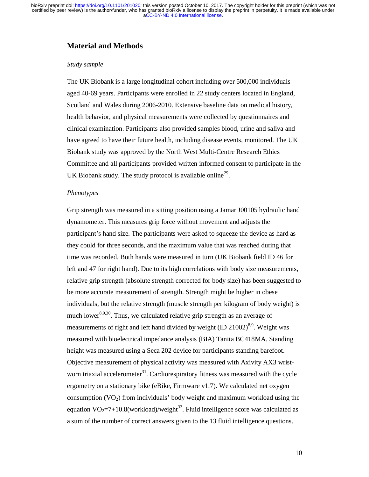### **Material and Methods**

#### *Study sample*

The UK Biobank is a large longitudinal cohort including over 500,000 individuals aged 40-69 years. Participants were enrolled in 22 study centers located in England, Scotland and Wales during 2006-2010. Extensive baseline data on medical history, health behavior, and physical measurements were collected by questionnaires and clinical examination. Participants also provided samples blood, urine and saliva and have agreed to have their future health, including disease events, monitored. The UK Biobank study was approved by the North West Multi-Centre Research Ethics Committee and all participants provided written informed consent to participate in the UK Biobank study. The study protocol is available online<sup>29</sup>.

#### *Phenotypes*

Grip strength was measured in a sitting position using a Jamar J00105 hydraulic hand dynamometer. This measures grip force without movement and adjusts the participant's hand size. The participants were asked to squeeze the device as hard as they could for three seconds, and the maximum value that was reached during that time was recorded. Both hands were measured in turn (UK Biobank field ID 46 for left and 47 for right hand). Due to its high correlations with body size measurements, relative grip strength (absolute strength corrected for body size) has been suggested to be more accurate measurement of strength. Strength might be higher in obese individuals, but the relative strength (muscle strength per kilogram of body weight) is much lower $8,9,30$ . Thus, we calculated relative grip strength as an average of measurements of right and left hand divided by weight (ID  $21002$ )<sup>8,9</sup>. Weight was measured with bioelectrical impedance analysis (BIA) Tanita BC418MA. Standing height was measured using a Seca 202 device for participants standing barefoot. Objective measurement of physical activity was measured with Axivity AX3 wristworn triaxial accelerometer $31$ . Cardiorespiratory fitness was measured with the cycle ergometry on a stationary bike (eBike, Firmware v1.7). We calculated net oxygen consumption  $(VO<sub>2</sub>)$  from individuals' body weight and maximum workload using the equation  $VO_2=7+10.8$ (workload)/weight<sup>32</sup>. Fluid intelligence score was calculated as a sum of the number of correct answers given to the 13 fluid intelligence questions.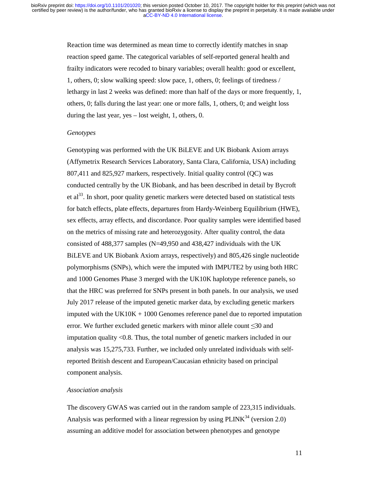Reaction time was determined as mean time to correctly identify matches in snap reaction speed game. The categorical variables of self-reported general health and frailty indicators were recoded to binary variables; overall health: good or excellent, 1, others, 0; slow walking speed: slow pace, 1, others, 0; feelings of tiredness / lethargy in last 2 weeks was defined: more than half of the days or more frequently, 1, others, 0; falls during the last year: one or more falls, 1, others, 0; and weight loss during the last year, yes – lost weight, 1, others, 0.

#### *Genotypes*

Genotyping was performed with the UK BiLEVE and UK Biobank Axiom arrays (Affymetrix Research Services Laboratory, Santa Clara, California, USA) including 807,411 and 825,927 markers, respectively. Initial quality control (QC) was conducted centrally by the UK Biobank, and has been described in detail by Bycroft et al<sup>33</sup>. In short, poor quality genetic markers were detected based on statistical tests for batch effects, plate effects, departures from Hardy-Weinberg Equilibrium (HWE), sex effects, array effects, and discordance. Poor quality samples were identified based on the metrics of missing rate and heterozygosity. After quality control, the data consisted of 488,377 samples (N=49,950 and 438,427 individuals with the UK BiLEVE and UK Biobank Axiom arrays, respectively) and 805,426 single nucleotide polymorphisms (SNPs), which were the imputed with IMPUTE2 by using both HRC and 1000 Genomes Phase 3 merged with the UK10K haplotype reference panels, so that the HRC was preferred for SNPs present in both panels. In our analysis, we used July 2017 release of the imputed genetic marker data, by excluding genetic markers imputed with the  $UK10K + 1000$  Genomes reference panel due to reported imputation error. We further excluded genetic markers with minor allele count ≤30 and imputation quality <0.8. Thus, the total number of genetic markers included in our analysis was 15,275,733. Further, we included only unrelated individuals with selfreported British descent and European/Caucasian ethnicity based on principal component analysis.

#### *Association analysis*

The discovery GWAS was carried out in the random sample of 223,315 individuals. Analysis was performed with a linear regression by using  $PLINK^{34}$  (version 2.0) assuming an additive model for association between phenotypes and genotype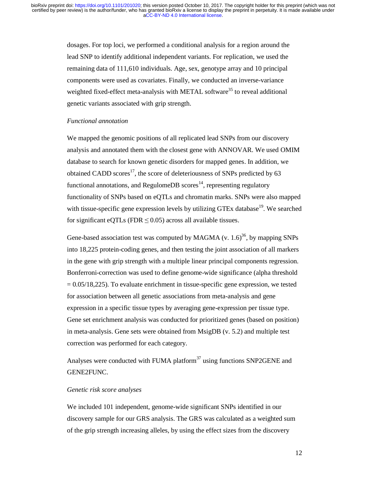dosages. For top loci, we performed a conditional analysis for a region around the lead SNP to identify additional independent variants. For replication, we used the remaining data of 111,610 individuals. Age, sex, genotype array and 10 principal components were used as covariates. Finally, we conducted an inverse-variance weighted fixed-effect meta-analysis with METAL software<sup>35</sup> to reveal additional genetic variants associated with grip strength.

#### *Functional annotation*

We mapped the genomic positions of all replicated lead SNPs from our discovery analysis and annotated them with the closest gene with ANNOVAR. We used OMIM database to search for known genetic disorders for mapped genes. In addition, we obtained CADD scores<sup>17</sup>, the score of deleteriousness of SNPs predicted by 63 functional annotations, and RegulomeDB scores<sup>14</sup>, representing regulatory functionality of SNPs based on eQTLs and chromatin marks. SNPs were also mapped with tissue-specific gene expression levels by utilizing GTEx database<sup>19</sup>. We searched for significant eQTLs (FDR  $\leq$  0.05) across all available tissues.

Gene-based association test was computed by MAGMA (v.  $1.6$ )<sup>36</sup>, by mapping SNPs into 18,225 protein-coding genes, and then testing the joint association of all markers in the gene with grip strength with a multiple linear principal components regression. Bonferroni-correction was used to define genome-wide significance (alpha threshold  $= 0.05/18,225$ . To evaluate enrichment in tissue-specific gene expression, we tested for association between all genetic associations from meta-analysis and gene expression in a specific tissue types by averaging gene-expression per tissue type. Gene set enrichment analysis was conducted for prioritized genes (based on position) in meta-analysis. Gene sets were obtained from MsigDB (v. 5.2) and multiple test correction was performed for each category.

Analyses were conducted with FUMA platform $37$  using functions SNP2GENE and GENE2FUNC.

#### *Genetic risk score analyses*

We included 101 independent, genome-wide significant SNPs identified in our discovery sample for our GRS analysis. The GRS was calculated as a weighted sum of the grip strength increasing alleles, by using the effect sizes from the discovery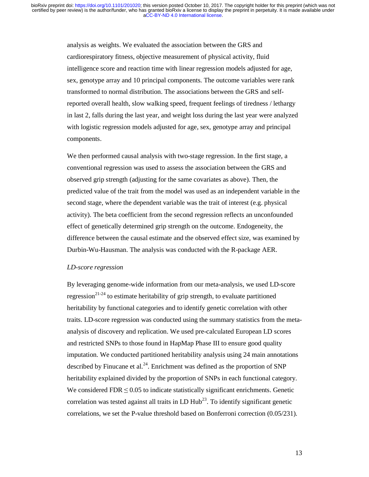analysis as weights. We evaluated the association between the GRS and cardiorespiratory fitness, objective measurement of physical activity, fluid intelligence score and reaction time with linear regression models adjusted for age, sex, genotype array and 10 principal components. The outcome variables were rank transformed to normal distribution. The associations between the GRS and selfreported overall health, slow walking speed, frequent feelings of tiredness / lethargy in last 2, falls during the last year, and weight loss during the last year were analyzed with logistic regression models adjusted for age, sex, genotype array and principal components.

We then performed causal analysis with two-stage regression. In the first stage, a conventional regression was used to assess the association between the GRS and observed grip strength (adjusting for the same covariates as above). Then, the predicted value of the trait from the model was used as an independent variable in the second stage, where the dependent variable was the trait of interest (e.g. physical activity). The beta coefficient from the second regression reflects an unconfounded effect of genetically determined grip strength on the outcome. Endogeneity, the difference between the causal estimate and the observed effect size, was examined by Durbin-Wu-Hausman. The analysis was conducted with the R-package AER.

#### *LD-score regression*

By leveraging genome-wide information from our meta-analysis, we used LD-score regression<sup>21-24</sup> to estimate heritability of grip strength, to evaluate partitioned heritability by functional categories and to identify genetic correlation with other traits. LD-score regression was conducted using the summary statistics from the metaanalysis of discovery and replication. We used pre-calculated European LD scores and restricted SNPs to those found in HapMap Phase III to ensure good quality imputation. We conducted partitioned heritability analysis using 24 main annotations described by Finucane et al.<sup>24</sup>. Enrichment was defined as the proportion of SNP heritability explained divided by the proportion of SNPs in each functional category. We considered FDR  $\leq 0.05$  to indicate statistically significant enrichments. Genetic correlation was tested against all traits in LD  $Hub^{23}$ . To identify significant genetic correlations, we set the P-value threshold based on Bonferroni correction (0.05/231).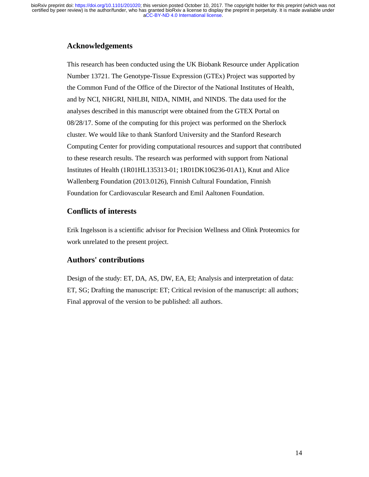# **Acknowledgements**

This research has been conducted using the UK Biobank Resource under Application Number 13721. The Genotype-Tissue Expression (GTEx) Project was supported by the Common Fund of the Office of the Director of the National Institutes of Health, and by NCI, NHGRI, NHLBI, NIDA, NIMH, and NINDS. The data used for the analyses described in this manuscript were obtained from the GTEX Portal on 08/28/17. Some of the computing for this project was performed on the Sherlock cluster. We would like to thank Stanford University and the Stanford Research Computing Center for providing computational resources and support that contributed to these research results. The research was performed with support from National Institutes of Health (1R01HL135313-01; 1R01DK106236-01A1), Knut and Alice Wallenberg Foundation (2013.0126), Finnish Cultural Foundation, Finnish Foundation for Cardiovascular Research and Emil Aaltonen Foundation.

### **Conflicts of interests**

Erik Ingelsson is a scientific advisor for Precision Wellness and Olink Proteomics for work unrelated to the present project.

# **Authors' contributions**

Design of the study: ET, DA, AS, DW, EA, EI; Analysis and interpretation of data: ET, SG; Drafting the manuscript: ET; Critical revision of the manuscript: all authors; Final approval of the version to be published: all authors.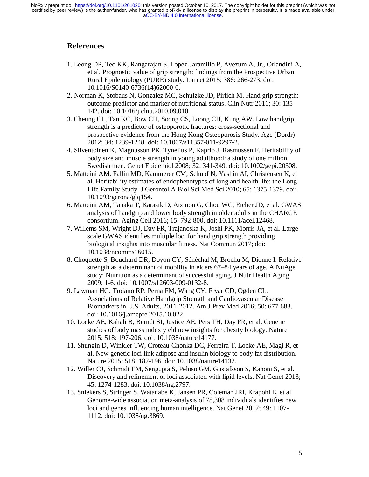### **References**

- 1. Leong DP, Teo KK, Rangarajan S, Lopez-Jaramillo P, Avezum A, Jr., Orlandini A, et al. Prognostic value of grip strength: findings from the Prospective Urban Rural Epidemiology (PURE) study. Lancet 2015; 386: 266-273. doi: 10.1016/S0140-6736(14)62000-6.
- 2. Norman K, Stobaus N, Gonzalez MC, Schulzke JD, Pirlich M. Hand grip strength: outcome predictor and marker of nutritional status. Clin Nutr 2011; 30: 135- 142. doi: 10.1016/j.clnu.2010.09.010.
- 3. Cheung CL, Tan KC, Bow CH, Soong CS, Loong CH, Kung AW. Low handgrip strength is a predictor of osteoporotic fractures: cross-sectional and prospective evidence from the Hong Kong Osteoporosis Study. Age (Dordr) 2012; 34: 1239-1248. doi: 10.1007/s11357-011-9297-2.
- 4. Silventoinen K, Magnusson PK, Tynelius P, Kaprio J, Rasmussen F. Heritability of body size and muscle strength in young adulthood: a study of one million Swedish men. Genet Epidemiol 2008; 32: 341-349. doi: 10.1002/gepi.20308.
- 5. Matteini AM, Fallin MD, Kammerer CM, Schupf N, Yashin AI, Christensen K, et al. Heritability estimates of endophenotypes of long and health life: the Long Life Family Study. J Gerontol A Biol Sci Med Sci 2010; 65: 1375-1379. doi: 10.1093/gerona/glq154.
- 6. Matteini AM, Tanaka T, Karasik D, Atzmon G, Chou WC, Eicher JD, et al. GWAS analysis of handgrip and lower body strength in older adults in the CHARGE consortium. Aging Cell 2016; 15: 792-800. doi: 10.1111/acel.12468.
- 7. Willems SM, Wright DJ, Day FR, Trajanoska K, Joshi PK, Morris JA, et al. Largescale GWAS identifies multiple loci for hand grip strength providing biological insights into muscular fitness. Nat Commun 2017; doi: 10.1038/ncomms16015.
- 8. Choquette S, Bouchard DR, Doyon CY, Sénéchal M, Brochu M, Dionne I. Relative strength as a determinant of mobility in elders 67–84 years of age. A NuAge study: Nutrition as a determinant of successful aging. J Nutr Health Aging 2009; 1-6. doi: 10.1007/s12603-009-0132-8.
- 9. Lawman HG, Troiano RP, Perna FM, Wang CY, Fryar CD, Ogden CL. Associations of Relative Handgrip Strength and Cardiovascular Disease Biomarkers in U.S. Adults, 2011-2012. Am J Prev Med 2016; 50: 677-683. doi: 10.1016/j.amepre.2015.10.022.
- 10. Locke AE, Kahali B, Berndt SI, Justice AE, Pers TH, Day FR, et al. Genetic studies of body mass index yield new insights for obesity biology. Nature 2015; 518: 197-206. doi: 10.1038/nature14177.
- 11. Shungin D, Winkler TW, Croteau-Chonka DC, Ferreira T, Locke AE, Magi R, et al. New genetic loci link adipose and insulin biology to body fat distribution. Nature 2015; 518: 187-196. doi: 10.1038/nature14132.
- 12. Willer CJ, Schmidt EM, Sengupta S, Peloso GM, Gustafsson S, Kanoni S, et al. Discovery and refinement of loci associated with lipid levels. Nat Genet 2013; 45: 1274-1283. doi: 10.1038/ng.2797.
- 13. Sniekers S, Stringer S, Watanabe K, Jansen PR, Coleman JRI, Krapohl E, et al. Genome-wide association meta-analysis of 78,308 individuals identifies new loci and genes influencing human intelligence. Nat Genet 2017; 49: 1107- 1112. doi: 10.1038/ng.3869.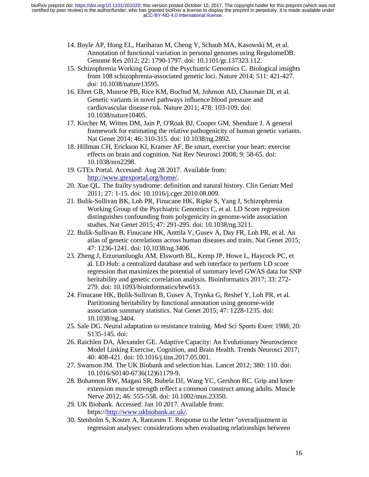- 14. Boyle AP, Hong EL, Hariharan M, Cheng Y, Schaub MA, Kasowski M, et al. Annotation of functional variation in personal genomes using RegulomeDB. Genome Res 2012; 22: 1790-1797. doi: 10.1101/gr.137323.112.
- 15. Schizophrenia Working Group of the Psychiatric Genomics C. Biological insights from 108 schizophrenia-associated genetic loci. Nature 2014; 511: 421-427. doi: 10.1038/nature13595.
- 16. Ehret GB, Munroe PB, Rice KM, Bochud M, Johnson AD, Chasman DI, et al. Genetic variants in novel pathways influence blood pressure and cardiovascular disease risk. Nature 2011; 478: 103-109. doi: 10.1038/nature10405.
- 17. Kircher M, Witten DM, Jain P, O'Roak BJ, Cooper GM, Shendure J. A general framework for estimating the relative pathogenicity of human genetic variants. Nat Genet 2014; 46: 310-315. doi: 10.1038/ng.2892.
- 18. Hillman CH, Erickson KI, Kramer AF. Be smart, exercise your heart: exercise effects on brain and cognition. Nat Rev Neurosci 2008; 9: 58-65. doi: 10.1038/nrn2298.
- 19. GTEx Portal. Accessed: Aug 28 2017. Available from: http://www.gtexportal.org/home/.
- 20. Xue QL. The frailty syndrome: definition and natural history. Clin Geriatr Med 2011; 27: 1-15. doi: 10.1016/j.cger.2010.08.009.
- 21. Bulik-Sullivan BK, Loh PR, Finucane HK, Ripke S, Yang J, Schizophrenia Working Group of the Psychiatric Genomics C, et al. LD Score regression distinguishes confounding from polygenicity in genome-wide association studies. Nat Genet 2015; 47: 291-295. doi: 10.1038/ng.3211.
- 22. Bulik-Sullivan B, Finucane HK, Anttila V, Gusev A, Day FR, Loh PR, et al. An atlas of genetic correlations across human diseases and traits. Nat Genet 2015; 47: 1236-1241. doi: 10.1038/ng.3406.
- 23. Zheng J, Erzurumluoglu AM, Elsworth BL, Kemp JP, Howe L, Haycock PC, et al. LD Hub: a centralized database and web interface to perform LD score regression that maximizes the potential of summary level GWAS data for SNP heritability and genetic correlation analysis. Bioinformatics 2017; 33: 272- 279. doi: 10.1093/bioinformatics/btw613.
- 24. Finucane HK, Bulik-Sullivan B, Gusev A, Trynka G, Reshef Y, Loh PR, et al. Partitioning heritability by functional annotation using genome-wide association summary statistics. Nat Genet 2015; 47: 1228-1235. doi: 10.1038/ng.3404.
- 25. Sale DG. Neural adaptation to resistance training. Med Sci Sports Exerc 1988; 20: S135-145. doi:
- 26. Raichlen DA, Alexander GE. Adaptive Capacity: An Evolutionary Neuroscience Model Linking Exercise, Cognition, and Brain Health. Trends Neurosci 2017; 40: 408-421. doi: 10.1016/j.tins.2017.05.001.
- 27. Swanson JM. The UK Biobank and selection bias. Lancet 2012; 380: 110. doi: 10.1016/S0140-6736(12)61179-9.
- 28. Bohannon RW, Magasi SR, Bubela DJ, Wang YC, Gershon RC. Grip and knee extension muscle strength reflect a common construct among adults. Muscle Nerve 2012; 46: 555-558. doi: 10.1002/mus.23350.
- 29. UK Biobank. Accessed: Jan 10 2017. Available from: https://http://www.ukbiobank.ac.uk/.
- 30. Stenholm S, Koster A, Rantanen T. Response to the letter "overadjustment in regression analyses: considerations when evaluating relationships between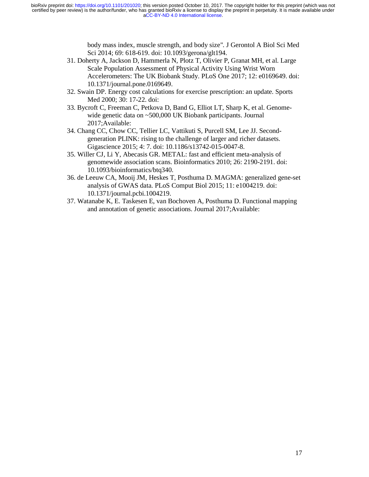body mass index, muscle strength, and body size". J Gerontol A Biol Sci Med Sci 2014; 69: 618-619. doi: 10.1093/gerona/glt194.

- 31. Doherty A, Jackson D, Hammerla N, Plotz T, Olivier P, Granat MH, et al. Large Scale Population Assessment of Physical Activity Using Wrist Worn Accelerometers: The UK Biobank Study. PLoS One 2017; 12: e0169649. doi: 10.1371/journal.pone.0169649.
- 32. Swain DP. Energy cost calculations for exercise prescription: an update. Sports Med 2000; 30: 17-22. doi:
- 33. Bycroft C, Freeman C, Petkova D, Band G, Elliot LT, Sharp K, et al. Genomewide genetic data on ~500,000 UK Biobank participants. Journal 2017;Available:
- 34. Chang CC, Chow CC, Tellier LC, Vattikuti S, Purcell SM, Lee JJ. Secondgeneration PLINK: rising to the challenge of larger and richer datasets. Gigascience 2015; 4: 7. doi: 10.1186/s13742-015-0047-8.
- 35. Willer CJ, Li Y, Abecasis GR. METAL: fast and efficient meta-analysis of genomewide association scans. Bioinformatics 2010; 26: 2190-2191. doi: 10.1093/bioinformatics/btq340.
- 36. de Leeuw CA, Mooij JM, Heskes T, Posthuma D. MAGMA: generalized gene-set analysis of GWAS data. PLoS Comput Biol 2015; 11: e1004219. doi: 10.1371/journal.pcbi.1004219.
- 37. Watanabe K, E. Taskesen E, van Bochoven A, Posthuma D. Functional mapping and annotation of genetic associations. Journal 2017;Available: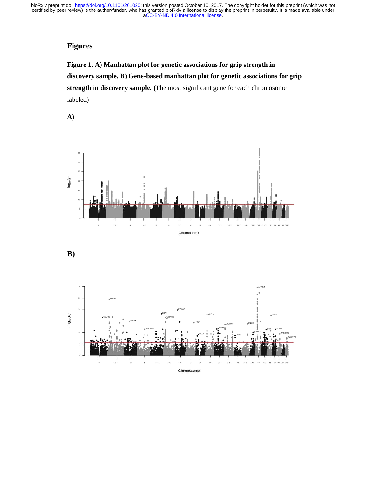# **Figures**

**Figure 1. A) Manhattan plot for genetic associations for grip strength in discovery sample. B) Gene-based manhattan plot for genetic associations for grip strength in discovery sample. (**The most significant gene for each chromosome labeled)

**A)** 





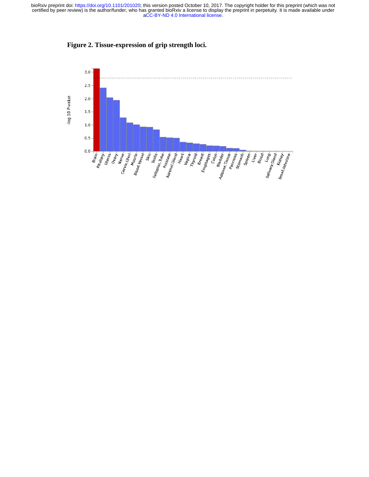[aCC-BY-ND 4.0 International license.](http://creativecommons.org/licenses/by-nd/4.0/) certified by peer review) is the author/funder, who has granted bioRxiv a license to display the preprint in perpetuity. It is made available under bioRxiv preprint doi: [https://doi.org/10.1101/201020;](https://doi.org/10.1101/201020) this version posted October 10, 2017. The copyright holder for this preprint (which was not



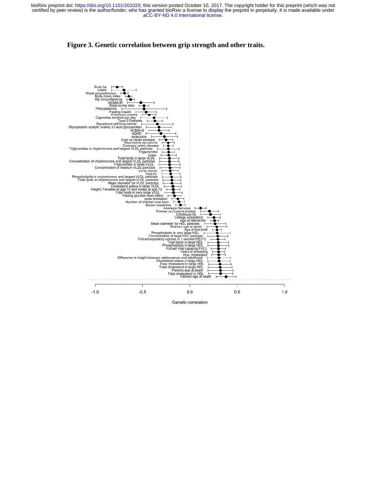[aCC-BY-ND 4.0 International license.](http://creativecommons.org/licenses/by-nd/4.0/) certified by peer review) is the author/funder, who has granted bioRxiv a license to display the preprint in perpetuity. It is made available under bioRxiv preprint doi: [https://doi.org/10.1101/201020;](https://doi.org/10.1101/201020) this version posted October 10, 2017. The copyright holder for this preprint (which was not

#### **Figure 3. Genetic correlation between grip strength and other traits.**

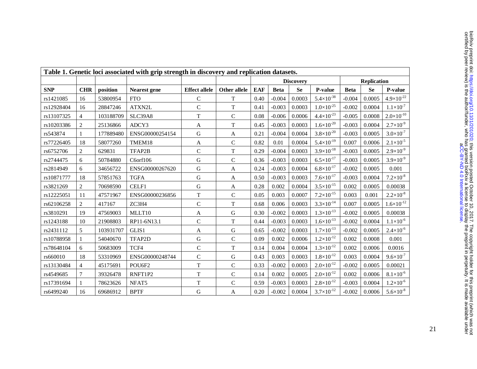| Table 1. Genetic loci associated with grip strength in discovery and replication datasets. |                |           |                     |                      |                |                                        |             |           |                              |             |           |                       |
|--------------------------------------------------------------------------------------------|----------------|-----------|---------------------|----------------------|----------------|----------------------------------------|-------------|-----------|------------------------------|-------------|-----------|-----------------------|
|                                                                                            |                |           |                     |                      |                | <b>Replication</b><br><b>Discovery</b> |             |           |                              |             |           |                       |
| <b>SNP</b>                                                                                 | <b>CHR</b>     | position  | <b>Nearest gene</b> | <b>Effect allele</b> | Other allele   | <b>EAF</b>                             | <b>Beta</b> | <b>Se</b> | <b>P-value</b>               | <b>Beta</b> | <b>Se</b> | P-value               |
| rs1421085                                                                                  | 16             | 53800954  | <b>FTO</b>          | $\mathbf C$          | $\mathbf T$    | 0.40                                   | $-0.004$    | 0.0003    | $5.4 \times 10^{-38}$        | $-0.004$    | 0.0005    | $4.9\times10^{-22}$   |
| rs12928404                                                                                 | 16             | 28847246  | ATXN2L              | $\mathsf{C}$         | $\mathbf T$    | 0.41                                   | $-0.003$    | 0.0003    | $1.0\times10^{-25}$          | $-0.002$    | 0.0004    | $1.1 \times 10^{-7}$  |
| rs13107325                                                                                 | 4              | 103188709 | SLC39A8             | $\mathbf T$          | $\mathsf{C}$   | 0.08                                   | $-0.006$    | 0.0006    | $4.4 \times 10^{-23}$        | $-0.005$    | 0.0008    | $2.0 \times 10^{-10}$ |
| rs10203386                                                                                 | $\overline{c}$ | 25136866  | ADCY3               | A                    | $\mathbf T$    | 0.45                                   | $-0.003$    | 0.0003    | $1.6 \times 10^{-20}$        | $-0.003$    | 0.0004    | $2.7\times10^{-9}$    |
| rs543874                                                                                   | 1              | 177889480 | ENSG00000254154     | ${\bf G}$            | A              | 0.21                                   | $-0.004$    | 0.0004    | $3.8\times10^{-20}$          | $-0.003$    | 0.0005    | $3.0\times10^{-7}$    |
| rs77226405                                                                                 | 18             | 58077260  | TMEM18              | A                    | $\mathsf{C}$   | 0.82                                   | 0.01        | 0.0004    | $5.4{\times}10^{\text{-}19}$ | 0.007       | 0.0006    | $2.1 \times 10^{-5}$  |
| rs6752706                                                                                  | $\mathbf{2}$   | 629831    | TFAP2B              | $\mathsf C$          | $\mathbf T$    | 0.29                                   | $-0.004$    | 0.0003    | $3.9\times10^{\text{-}18}$   | $-0.003$    | 0.0005    | $2.9\times10^{-9}$    |
| rs2744475                                                                                  | 6              | 50784880  | C6orf106            | ${\bf G}$            | $\mathsf{C}$   | 0.36                                   | $-0.003$    | 0.0003    | $6.5 \times 10^{-17}$        | $-0.003$    | 0.0005    | $3.9\times10^{-9}$    |
| rs2814949                                                                                  | 6              | 34656722  | ENSG00000267620     | $\mathbf G$          | A              | 0.24                                   | $-0.003$    | 0.0004    | $6.8 \times 10^{-17}$        | $-0.002$    | 0.0005    | 0.001                 |
| rs10871777                                                                                 | 18             | 57851763  | <b>TGFA</b>         | ${\bf G}$            | A              | 0.50                                   | $-0.003$    | 0.0003    | $7.6 \times 10^{-17}$        | $-0.003$    | 0.0004    | $7.2\times10^{-8}$    |
| rs3821269                                                                                  | 2              | 70698590  | CELF1               | $\mathbf G$          | A              | 0.28                                   | 0.002       | 0.0004    | $3.5 \times 10^{-15}$        | 0.002       | 0.0005    | 0.00038               |
| rs12225051                                                                                 | 11             | 47571967  | ENSG00000236856     | $\mathbf T$          | $\mathbf C$    | 0.05                                   | 0.003       | 0.0007    | $7.2 \times 10^{-15}$        | 0.003       | 0.001     | $2.2 \times 10^{-8}$  |
| rs62106258                                                                                 | 2              | 417167    | ZC3H4               | $\mathsf C$          | T              | 0.68                                   | 0.006       | 0.0003    | $3.3 \times 10^{-14}$        | 0.007       | 0.0005    | $1.6 \times 10^{-12}$ |
| rs3810291                                                                                  | 19             | 47569003  | MLLT10              | A                    | ${\bf G}$      | 0.30                                   | $-0.002$    | 0.0003    | $1.3 \times 10^{-13}$        | $-0.002$    | 0.0005    | 0.00038               |
| rs1243188                                                                                  | 10             | 21908803  | RP11-6N13.1         | $\mathsf{C}$         | $\mathbf T$    | 0.44                                   | $-0.003$    | 0.0003    | $1.6 \times 10^{-13}$        | $-0.002$    | 0.0004    | $1.1\times10^{-6}$    |
| rs2431112                                                                                  | 5              | 103931707 | GLIS1               | A                    | ${\bf G}$      | 0.65                                   | $-0.002$    | 0.0003    | $1.7 \times 10^{-13}$        | $-0.002$    | 0.0005    | $2.4\times10^{-6}$    |
| rs10788958                                                                                 | 1              | 54040670  | TFAP2D              | ${\bf G}$            | $\mathcal{C}$  | 0.09                                   | 0.002       | 0.0006    | $1.2\times10^{\text{-}12}$   | 0.002       | 0.0008    | 0.001                 |
| rs78648104                                                                                 | 6              | 50683009  | TCF4                | $\mathsf C$          | T              | 0.14                                   | 0.004       | 0.0004    | $1.3 \times 10^{-12}$        | 0.002       | 0.0006    | 0.0016                |
| rs660010                                                                                   | 18             | 53310969  | ENSG00000248744     | ${\bf C}$            | ${\bf G}$      | 0.43                                   | 0.003       | 0.0003    | $1.8 \times 10^{-12}$        | 0.003       | 0.0004    | $9.6 \times 10^{-7}$  |
| rs13130484                                                                                 | 4              | 45175691  | POU6F2              | $\mathbf T$          | $\mathsf{C}$   | 0.33                                   | $-0.002$    | 0.0003    | $2.0 \times 10^{-12}$        | $-0.002$    | 0.0005    | 0.00021               |
| rs4549685                                                                                  | 7              | 39326478  | RNFT1P2             | $\mathbf T$          | $\mathsf C$    | 0.14                                   | 0.002       | 0.0005    | $2.0 \times 10^{-12}$        | 0.002       | 0.0006    | $8.1 \times 10^{-6}$  |
| rs17391694                                                                                 |                | 78623626  | NFAT5               | $\mathbf T$          | $\overline{C}$ | 0.59                                   | $-0.003$    | 0.0003    | $2.8\times10^{-12}$          | $-0.003$    | 0.0004    | $1.2\times10^{-6}$    |
| rs6499240                                                                                  | 16             | 69686912  | <b>BPTF</b>         | ${\bf G}$            | $\mathbf{A}$   | 0.20                                   | $-0.002$    | 0.0004    | $3.7 \times 10^{-12}$        | $-0.002$    | 0.0006    | $5.6 \times 10^{-8}$  |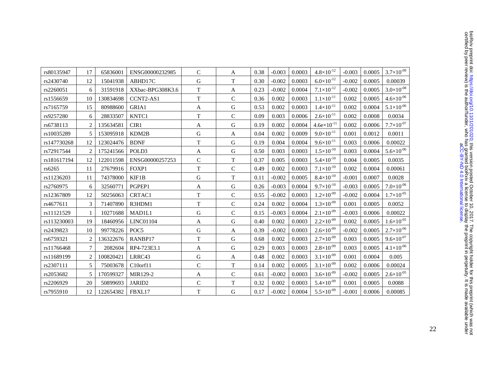| rs80135947  | 17             | 65836001  | ENSG00000232985    | C            | A            | 0.38 | $-0.003$ | 0.0003 | $4.8 \times 10^{-12}$        | $-0.003$ | 0.0005 | $3.7 \times 10^{-09}$                |
|-------------|----------------|-----------|--------------------|--------------|--------------|------|----------|--------|------------------------------|----------|--------|--------------------------------------|
| rs2430740   | 12             | 15041938  | ABHD17C            | ${\bf G}$    | $\mathbf T$  | 0.30 | $-0.002$ | 0.0003 | $6.0\times10^{-12}$          | $-0.002$ | 0.0005 | 0.00039                              |
| rs2260051   | 6              | 31591918  | XXbac-BPG308K3.6   | $\mathbf T$  | A            | 0.23 | $-0.002$ | 0.0004 | $7.1{\times}10^{\text{-}12}$ | $-0.002$ | 0.0005 | $3.0 \times 10^{-08}$                |
| rs1556659   | 10             | 130834698 | <b>CCNT2-AS1</b>   | $\mathbf T$  | $\mathsf{C}$ | 0.36 | 0.002    | 0.0003 | $1.1 \times 10^{-11}$        | 0.002    | 0.0005 | $4.6 \times 10^{-06}$                |
| rs7165759   | 15             | 80988600  | GRIA1              | A            | G            | 0.53 | 0.002    | 0.0003 | $1.4\times10^{-11}$          | 0.002    | 0.0004 | $5.1 \times 10^{-06}$                |
| rs9257280   | 6              | 28833507  | KNTC1              | T            | $\mathbf C$  | 0.09 | 0.003    | 0.0006 | $2.6 \times 10^{-11}$        | 0.002    | 0.0008 | 0.0034                               |
| rs6738113   | 2              | 135634581 | CIR1               | A            | G            | 0.19 | 0.002    | 0.0004 | $4.6e\times10^{-11}$         | 0.002    | 0.0006 | $7.7 \times 10^{-07}$                |
| rs10035289  | 5              | 153095918 | KDM2B              | $\mathbf G$  | A            | 0.04 | 0.002    | 0.0009 | $9.0\times10^{-11}$          | 0.001    | 0.0012 | 0.0011                               |
| rs147730268 | 12             | 123024476 | <b>BDNF</b>        | $\mathbf T$  | $\mathbf G$  | 0.19 | 0.004    | 0.0004 | $9.6 \times 10^{-11}$        | 0.003    | 0.0006 | 0.00022                              |
| rs72917544  | $\overline{2}$ | 175241566 | POLD3              | A            | $\mathbf G$  | 0.50 | 0.003    | 0.0003 | $1.5\times10^{\text{-}10}$   | 0.003    | 0.0004 | $5.6 \times 10^{-06}$                |
| rs181617194 | 12             | 122011598 | ENSG00000257253    | $\mathsf C$  | $\mathbf T$  | 0.37 | 0.005    | 0.0003 | $5.4 \times 10^{-10}$        | 0.004    | 0.0005 | 0.0035                               |
| rs6265      | 11             | 27679916  | FOXP1              | $\mathbf T$  | $\mathsf{C}$ | 0.49 | 0.002    | 0.0003 | $7.1 \times 10^{-10}$        | 0.002    | 0.0004 | 0.00061                              |
| rs11236203  | 11             | 74378000  | KIF1B              | $\mathbf G$  | $\mathbf T$  | 0.11 | $-0.002$ | 0.0005 | $8.4 \times 10^{-10}$        | $-0.001$ | 0.0007 | 0.0028                               |
| rs2760975   | 6              | 32560771  | PGPEP1             | A            | ${\bf G}$    | 0.26 | $-0.003$ | 0.0004 | $9.7\times10^{-10}$          | $-0.003$ | 0.0005 | $7.0 \times 10^{-06}$                |
| rs12367809  | 12             | 50256063  | CRTAC1             | $\mathbf T$  | $\mathbf C$  | 0.55 | $-0.002$ | 0.0003 | $1.2\times10^{-09}$          | $-0.002$ | 0.0004 | $1.7 \times 10^{-05}$                |
| rs4677611   | 3              | 71407890  | R3HDM1             | $\mathbf T$  | $\mathsf{C}$ | 0.24 | 0.002    | 0.0004 | $1.3\times10^{-09}$          | 0.001    | 0.0005 | 0.0052                               |
| rs11121529  | 1              | 10271688  | MAD1L1             | G            | $\mathsf{C}$ | 0.15 | $-0.003$ | 0.0004 | $2.1 \times 10^{-09}$        | $-0.003$ | 0.0006 | 0.00022                              |
| rs113230003 | 19             | 18460956  | LINC01104          | A            | ${\bf G}$    | 0.40 | 0.002    | 0.0003 | $2.2 \times 10^{-09}$        | 0.002    | 0.0005 | $1.6 \!\!\times\!\! 10^{\text{-}05}$ |
| rs2439823   | 10             | 99778226  | POC <sub>5</sub>   | $\mathbf G$  | $\mathbf{A}$ | 0.39 | $-0.002$ | 0.0003 | $2.6 \times 10^{-09}$        | $-0.002$ | 0.0005 | $2.7\times10^{-06}$                  |
| rs6759321   | 2              | 136322676 | RANBP17            | $\mathbf T$  | G            | 0.68 | 0.002    | 0.0003 | $2.7\times10^{-09}$          | 0.003    | 0.0005 | $9.6 \times 10^{-07}$                |
| rs11766468  | $\overline{7}$ | 2082604   | RP4-723E3.1        | A            | ${\bf G}$    | 0.29 | 0.003    | 0.0003 | $2.8 \times 10^{-09}$        | 0.003    | 0.0005 | $4.1 \times 10^{-06}$                |
| rs11689199  | 2              | 100820421 | LRRC43             | $\mathbf G$  | A            | 0.48 | 0.002    | 0.0003 | $3.1 \times 10^{-09}$        | 0.001    | 0.0004 | 0.005                                |
| rs2307111   | 5              | 75003678  | C10orf11           | $\mathsf{C}$ | T            | 0.14 | 0.002    | 0.0005 | $3.1 \times 10^{-09}$        | 0.002    | 0.0006 | 0.00024                              |
| rs2053682   | 5              | 170599327 | MIR129-2           | A            | $\mathbf C$  | 0.61 | $-0.002$ | 0.0003 | $3.6\times10^{-09}$          | $-0.002$ | 0.0005 | $2.6 \times 10^{-05}$                |
| rs2206929   | 20             | 50899693  | JARID <sub>2</sub> | $\mathsf C$  | $\mathbf T$  | 0.32 | 0.002    | 0.0003 | $5.4 \times 10^{-09}$        | 0.001    | 0.0005 | 0.0088                               |
| rs7955910   | 12             | 122654382 | FBXL17             | $\mathbf T$  | G            | 0.17 | $-0.002$ | 0.0004 | $5.5 \times 10^{-09}$        | $-0.001$ | 0.0006 | 0.00085                              |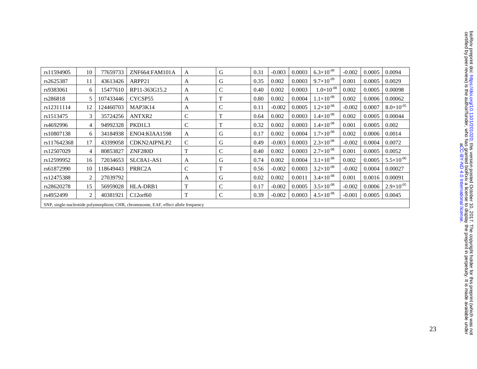| rs11594905                                                                         | 10 | 77659733  | ZNF664: FAM101A     | A             | G             | 0.31 | $-0.003$ | 0.0003 | $6.3\times10^{-09}$   | $-0.002$ | 0.0005 | 0.0094                |
|------------------------------------------------------------------------------------|----|-----------|---------------------|---------------|---------------|------|----------|--------|-----------------------|----------|--------|-----------------------|
| rs2625387                                                                          | 11 | 43613426  | ARPP21              | A             | G             | 0.35 | 0.002    | 0.0003 | $9.7\times10^{-09}$   | 0.001    | 0.0005 | 0.0029                |
| rs9383061                                                                          | 6  | 15477610  | RP11-363G15.2       | A             | $\mathcal{C}$ | 0.40 | 0.002    | 0.0003 | $1.0\times10^{-08}$   | 0.002    | 0.0005 | 0.00098               |
| rs286818                                                                           | 5  | 107433446 | CYCSP <sub>55</sub> | A             | T             | 0.80 | 0.002    | 0.0004 | $1.1\times10^{-08}$   | 0.002    | 0.0006 | 0.00062               |
| rs12311114                                                                         | 12 | 124460703 | MAP3K14             | A             | C             | 0.11 | $-0.002$ | 0.0005 | $1.2\times10^{-08}$   | $-0.002$ | 0.0007 | $8.0\times10^{-05}$   |
| rs1513475                                                                          | 3  | 35724256  | ANTXR2              | C             | T             | 0.64 | 0.002    | 0.0003 | $1.4\times10^{-08}$   | 0.002    | 0.0005 | 0.00044               |
| rs4692996                                                                          | 4  | 94992328  | PKD1L3              | $\mathsf{C}$  | T             | 0.32 | 0.002    | 0.0003 | $1.4\times10^{-08}$   | 0.001    | 0.0005 | 0.002                 |
| rs10807138                                                                         | 6  | 34184938  | ENO4:KIAA1598       | A             | G             | 0.17 | 0.002    | 0.0004 | $1.7\times10^{-08}$   | 0.002    | 0.0006 | 0.0014                |
| rs117642368                                                                        | 17 | 43399058  | CDKN2AIPNLP2        | $\mathcal{C}$ | G             | 0.49 | $-0.003$ | 0.0003 | $2.3\times10^{-08}$   | $-0.002$ | 0.0004 | 0.0072                |
| rs12507029                                                                         | 4  | 80853827  | <b>ZNF280D</b>      | T             | C             | 0.40 | 0.002    | 0.0003 | $2.7\times10^{-08}$   | 0.001    | 0.0005 | 0.0052                |
| rs12599952                                                                         | 16 | 72034653  | SLC8A1-AS1          | A             | G             | 0.74 | 0.002    | 0.0004 | $3.1\times10^{-08}$   | 0.002    | 0.0005 | $5.5 \times 10^{-06}$ |
| rs61872990                                                                         | 10 | 118649443 | PRRC <sub>2</sub> A | $\mathcal{C}$ | T             | 0.56 | $-0.002$ | 0.0003 | $3.2\times10^{-08}$   | $-0.002$ | 0.0004 | 0.00027               |
| rs12475388                                                                         | 2  | 27039792  |                     | A             | G             | 0.02 | 0.002    | 0.0011 | $3.4\times10^{-08}$   | 0.001    | 0.0016 | 0.00091               |
| rs28620278                                                                         | 15 | 56959028  | HLA-DRB1            | T             | C             | 0.17 | $-0.002$ | 0.0005 | $3.5 \times 10^{-08}$ | $-0.002$ | 0.0006 | $2.9\times10^{-05}$   |
| rs4952499                                                                          | 2  | 40381921  | $C12$ orf $60$      | T             | C             | 0.39 | $-0.002$ | 0.0003 | $4.5 \times 10^{-08}$ | $-0.001$ | 0.0005 | 0.0045                |
| SNP, single-nucleotide polymorphism; CHR, chromosome, EAF, effect allele frequency |    |           |                     |               |               |      |          |        |                       |          |        |                       |